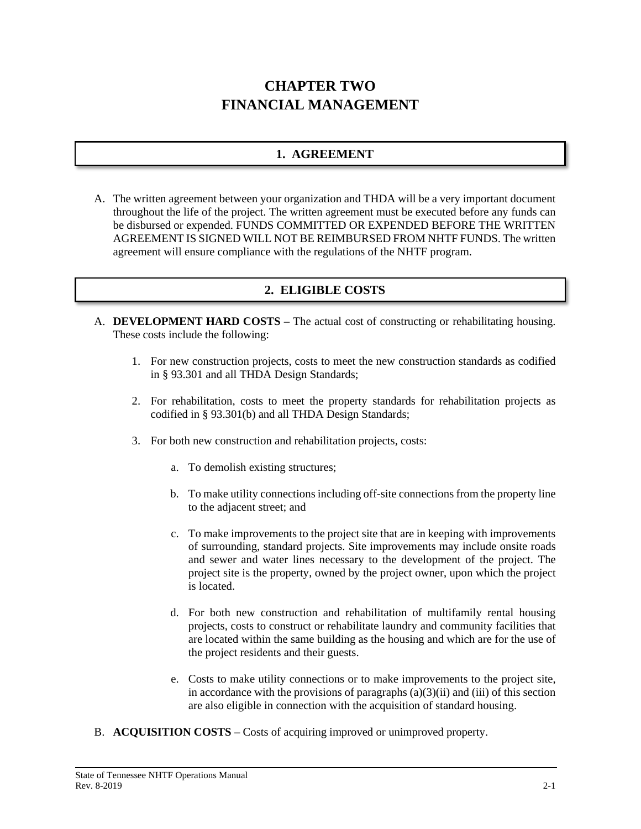# **CHAPTER TWO FINANCIAL MANAGEMENT**

# **1. AGREEMENT**

A. The written agreement between your organization and THDA will be a very important document throughout the life of the project. The written agreement must be executed before any funds can be disbursed or expended. FUNDS COMMITTED OR EXPENDED BEFORE THE WRITTEN AGREEMENT IS SIGNED WILL NOT BE REIMBURSED FROM NHTF FUNDS. The written agreement will ensure compliance with the regulations of the NHTF program.

# **2. ELIGIBLE COSTS**

- A. **DEVELOPMENT HARD COSTS** The actual cost of constructing or rehabilitating housing. These costs include the following:
	- 1. For new construction projects, costs to meet the new construction standards as codified in § 93.301 and all THDA Design Standards;
	- 2. For rehabilitation, costs to meet the property standards for rehabilitation projects as codified in § 93.301(b) and all THDA Design Standards;
	- 3. For both new construction and rehabilitation projects, costs:
		- a. To demolish existing structures;
		- b. To make utility connections including off-site connections from the property line to the adjacent street; and
		- c. To make improvements to the project site that are in keeping with improvements of surrounding, standard projects. Site improvements may include onsite roads and sewer and water lines necessary to the development of the project. The project site is the property, owned by the project owner, upon which the project is located.
		- d. For both new construction and rehabilitation of multifamily rental housing projects, costs to construct or rehabilitate laundry and community facilities that are located within the same building as the housing and which are for the use of the project residents and their guests.
		- e. Costs to make utility connections or to make improvements to the project site, in accordance with the provisions of paragraphs  $(a)(3)(ii)$  and  $(iii)$  of this section are also eligible in connection with the acquisition of standard housing.
- B. **ACQUISITION COSTS** Costs of acquiring improved or unimproved property.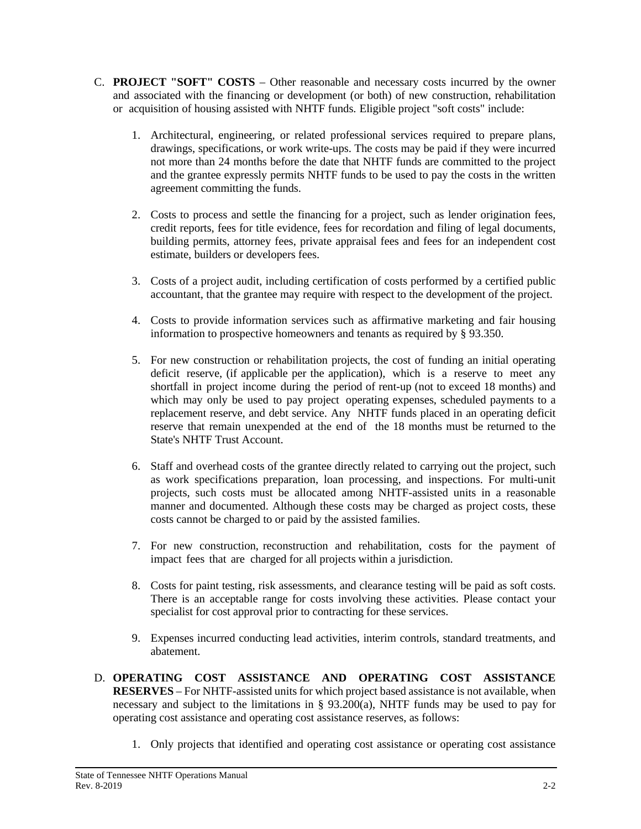- C. **PROJECT "SOFT" COSTS** Other reasonable and necessary costs incurred by the owner and associated with the financing or development (or both) of new construction, rehabilitation or acquisition of housing assisted with NHTF funds. Eligible project "soft costs" include:
	- 1. Architectural, engineering, or related professional services required to prepare plans, drawings, specifications, or work write-ups. The costs may be paid if they were incurred not more than 24 months before the date that NHTF funds are committed to the project and the grantee expressly permits NHTF funds to be used to pay the costs in the written agreement committing the funds.
	- 2. Costs to process and settle the financing for a project, such as lender origination fees, credit reports, fees for title evidence, fees for recordation and filing of legal documents, building permits, attorney fees, private appraisal fees and fees for an independent cost estimate, builders or developers fees.
	- 3. Costs of a project audit, including certification of costs performed by a certified public accountant, that the grantee may require with respect to the development of the project.
	- 4. Costs to provide information services such as affirmative marketing and fair housing information to prospective homeowners and tenants as required by § 93.350.
	- 5. For new construction or rehabilitation projects, the cost of funding an initial operating deficit reserve, (if applicable per the application), which is a reserve to meet any shortfall in project income during the period of rent-up (not to exceed 18 months) and which may only be used to pay project operating expenses, scheduled payments to a replacement reserve, and debt service. Any NHTF funds placed in an operating deficit reserve that remain unexpended at the end of the 18 months must be returned to the State's NHTF Trust Account.
	- 6. Staff and overhead costs of the grantee directly related to carrying out the project, such as work specifications preparation, loan processing, and inspections. For multi-unit projects, such costs must be allocated among NHTF-assisted units in a reasonable manner and documented. Although these costs may be charged as project costs, these costs cannot be charged to or paid by the assisted families.
	- 7. For new construction, reconstruction and rehabilitation, costs for the payment of impact fees that are charged for all projects within a jurisdiction.
	- 8. Costs for paint testing, risk assessments, and clearance testing will be paid as soft costs. There is an acceptable range for costs involving these activities. Please contact your specialist for cost approval prior to contracting for these services.
	- 9. Expenses incurred conducting lead activities, interim controls, standard treatments, and abatement.
- D. **OPERATING COST ASSISTANCE AND OPERATING COST ASSISTANCE RESERVES** – For NHTF-assisted units for which project based assistance is not available, when necessary and subject to the limitations in §  $93.200(a)$ , NHTF funds may be used to pay for operating cost assistance and operating cost assistance reserves, as follows:
	- 1. Only projects that identified and operating cost assistance or operating cost assistance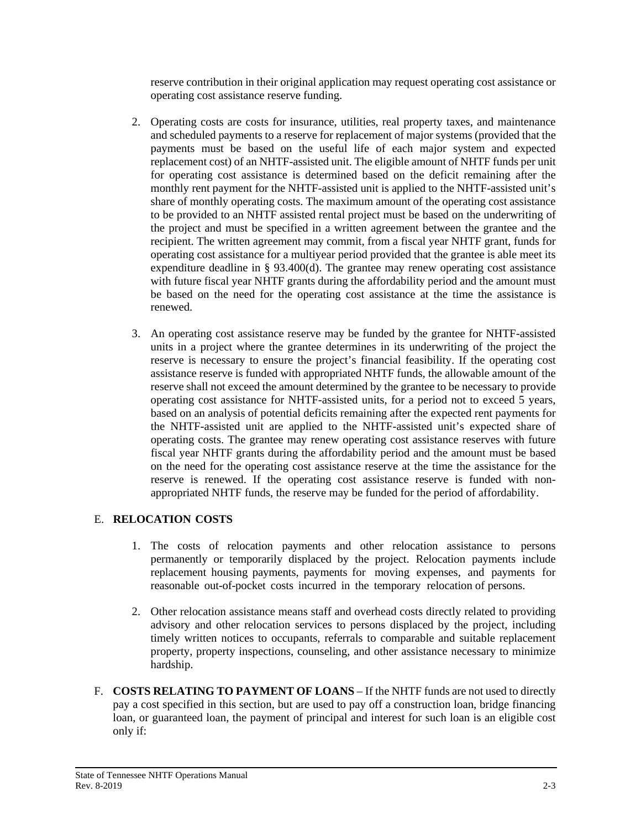reserve contribution in their original application may request operating cost assistance or operating cost assistance reserve funding.

- 2. Operating costs are costs for insurance, utilities, real property taxes, and maintenance and scheduled payments to a reserve for replacement of major systems (provided that the payments must be based on the useful life of each major system and expected replacement cost) of an NHTF-assisted unit. The eligible amount of NHTF funds per unit for operating cost assistance is determined based on the deficit remaining after the monthly rent payment for the NHTF-assisted unit is applied to the NHTF-assisted unit's share of monthly operating costs. The maximum amount of the operating cost assistance to be provided to an NHTF assisted rental project must be based on the underwriting of the project and must be specified in a written agreement between the grantee and the recipient. The written agreement may commit, from a fiscal year NHTF grant, funds for operating cost assistance for a multiyear period provided that the grantee is able meet its expenditure deadline in § 93.400(d). The grantee may renew operating cost assistance with future fiscal year NHTF grants during the affordability period and the amount must be based on the need for the operating cost assistance at the time the assistance is renewed.
- 3. An operating cost assistance reserve may be funded by the grantee for NHTF-assisted units in a project where the grantee determines in its underwriting of the project the reserve is necessary to ensure the project's financial feasibility. If the operating cost assistance reserve is funded with appropriated NHTF funds, the allowable amount of the reserve shall not exceed the amount determined by the grantee to be necessary to provide operating cost assistance for NHTF-assisted units, for a period not to exceed 5 years, based on an analysis of potential deficits remaining after the expected rent payments for the NHTF-assisted unit are applied to the NHTF-assisted unit's expected share of operating costs. The grantee may renew operating cost assistance reserves with future fiscal year NHTF grants during the affordability period and the amount must be based on the need for the operating cost assistance reserve at the time the assistance for the reserve is renewed. If the operating cost assistance reserve is funded with nonappropriated NHTF funds, the reserve may be funded for the period of affordability.

### E. **RELOCATION COSTS**

- 1. The costs of relocation payments and other relocation assistance to persons permanently or temporarily displaced by the project. Relocation payments include replacement housing payments, payments for moving expenses, and payments for reasonable out-of-pocket costs incurred in the temporary relocation of persons.
- 2. Other relocation assistance means staff and overhead costs directly related to providing advisory and other relocation services to persons displaced by the project, including timely written notices to occupants, referrals to comparable and suitable replacement property, property inspections, counseling, and other assistance necessary to minimize hardship.
- F. **COSTS RELATING TO PAYMENT OF LOANS**  If the NHTF funds are not used to directly pay a cost specified in this section, but are used to pay off a construction loan, bridge financing loan, or guaranteed loan, the payment of principal and interest for such loan is an eligible cost only if: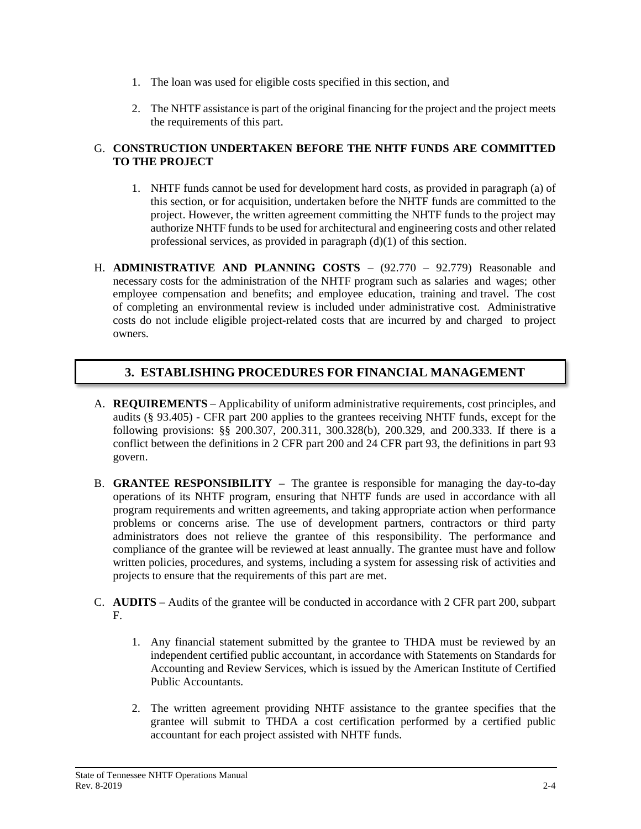- 1. The loan was used for eligible costs specified in this section, and
- 2. The NHTF assistance is part of the original financing for the project and the project meets the requirements of this part.

#### G. **CONSTRUCTION UNDERTAKEN BEFORE THE NHTF FUNDS ARE COMMITTED TO THE PROJECT**

- 1. NHTF funds cannot be used for development hard costs, as provided in paragraph (a) of this section, or for acquisition, undertaken before the NHTF funds are committed to the project. However, the written agreement committing the NHTF funds to the project may authorize NHTF funds to be used for architectural and engineering costs and other related professional services, as provided in paragraph (d)(1) of this section.
- H. **ADMINISTRATIVE AND PLANNING COSTS** (92.770 92.779) Reasonable and necessary costs for the administration of the NHTF program such as salaries and wages; other employee compensation and benefits; and employee education, training and travel. The cost of completing an environmental review is included under administrative cost. Administrative costs do not include eligible project-related costs that are incurred by and charged to project owners.

# **3. ESTABLISHING PROCEDURES FOR FINANCIAL MANAGEMENT**

- A. **REQUIREMENTS** Applicability of uniform administrative requirements, cost principles, and audits (§ 93.405) - CFR part 200 applies to the grantees receiving NHTF funds, except for the following provisions: §§ 200.307, 200.311, 300.328(b), 200.329, and 200.333. If there is a conflict between the definitions in 2 CFR part 200 and 24 CFR part 93, the definitions in part 93 govern.
- B. **GRANTEE RESPONSIBILITY** The grantee is responsible for managing the day-to-day operations of its NHTF program, ensuring that NHTF funds are used in accordance with all program requirements and written agreements, and taking appropriate action when performance problems or concerns arise. The use of development partners, contractors or third party administrators does not relieve the grantee of this responsibility. The performance and compliance of the grantee will be reviewed at least annually. The grantee must have and follow written policies, procedures, and systems, including a system for assessing risk of activities and projects to ensure that the requirements of this part are met.
- C. **AUDITS** Audits of the grantee will be conducted in accordance with 2 CFR part 200, subpart F.
	- 1. Any financial statement submitted by the grantee to THDA must be reviewed by an independent certified public accountant, in accordance with Statements on Standards for Accounting and Review Services, which is issued by the American Institute of Certified Public Accountants.
	- 2. The written agreement providing NHTF assistance to the grantee specifies that the grantee will submit to THDA a cost certification performed by a certified public accountant for each project assisted with NHTF funds.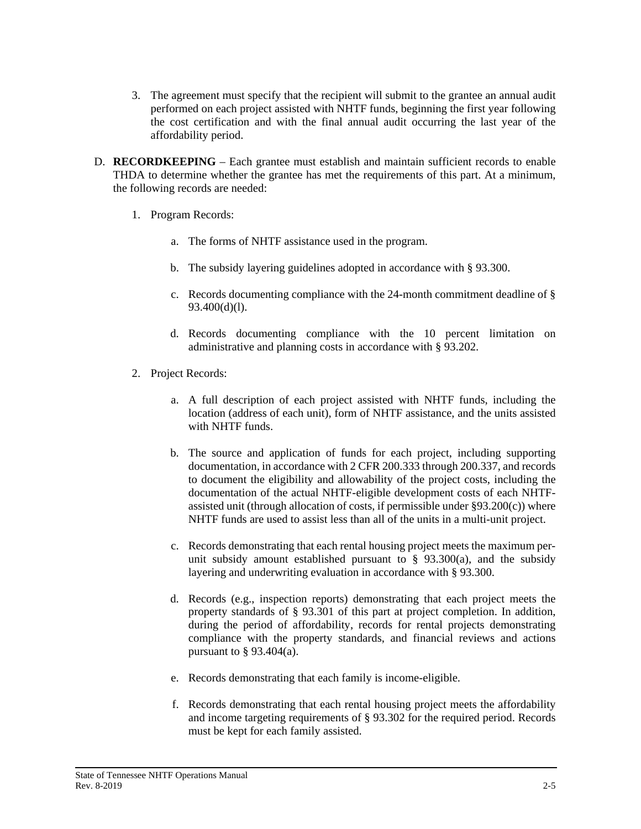- 3. The agreement must specify that the recipient will submit to the grantee an annual audit performed on each project assisted with NHTF funds, beginning the first year following the cost certification and with the final annual audit occurring the last year of the affordability period.
- D. **RECORDKEEPING** Each grantee must establish and maintain sufficient records to enable THDA to determine whether the grantee has met the requirements of this part. At a minimum, the following records are needed:
	- 1. Program Records:
		- a. The forms of NHTF assistance used in the program.
		- b. The subsidy layering guidelines adopted in accordance with § 93.300.
		- c. Records documenting compliance with the 24-month commitment deadline of § 93.400(d)(l).
		- d. Records documenting compliance with the 10 percent limitation on administrative and planning costs in accordance with § 93.202.
	- 2. Project Records:
		- a. A full description of each project assisted with NHTF funds, including the location (address of each unit), form of NHTF assistance, and the units assisted with NHTF funds.
		- b. The source and application of funds for each project, including supporting documentation, in accordance with 2 CFR 200.333 through 200.337, and records to document the eligibility and allowability of the project costs, including the documentation of the actual NHTF-eligible development costs of each NHTFassisted unit (through allocation of costs, if permissible under  $\S 93.200(c)$ ) where NHTF funds are used to assist less than all of the units in a multi-unit project.
		- c. Records demonstrating that each rental housing project meets the maximum perunit subsidy amount established pursuant to  $\S$  93.300(a), and the subsidy layering and underwriting evaluation in accordance with § 93.300.
		- d. Records (e.g., inspection reports) demonstrating that each project meets the property standards of § 93.301 of this part at project completion. In addition, during the period of affordability, records for rental projects demonstrating compliance with the property standards, and financial reviews and actions pursuant to  $\S$  93.404(a).
		- e. Records demonstrating that each family is income-eligible.
		- f. Records demonstrating that each rental housing project meets the affordability and income targeting requirements of § 93.302 for the required period. Records must be kept for each family assisted.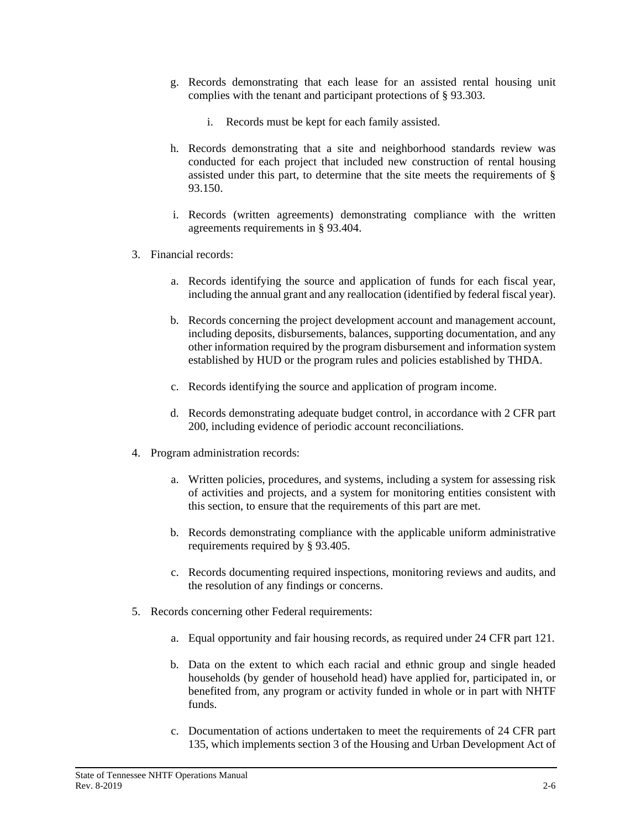- g. Records demonstrating that each lease for an assisted rental housing unit complies with the tenant and participant protections of § 93.303.
	- i. Records must be kept for each family assisted.
- h. Records demonstrating that a site and neighborhood standards review was conducted for each project that included new construction of rental housing assisted under this part, to determine that the site meets the requirements of § 93.150.
- i. Records (written agreements) demonstrating compliance with the written agreements requirements in § 93.404.
- 3. Financial records:
	- a. Records identifying the source and application of funds for each fiscal year, including the annual grant and any reallocation (identified by federal fiscal year).
	- b. Records concerning the project development account and management account, including deposits, disbursements, balances, supporting documentation, and any other information required by the program disbursement and information system established by HUD or the program rules and policies established by THDA.
	- c. Records identifying the source and application of program income.
	- d. Records demonstrating adequate budget control, in accordance with 2 CFR part 200, including evidence of periodic account reconciliations.
- 4. Program administration records:
	- a. Written policies, procedures, and systems, including a system for assessing risk of activities and projects, and a system for monitoring entities consistent with this section, to ensure that the requirements of this part are met.
	- b. Records demonstrating compliance with the applicable uniform administrative requirements required by § 93.405.
	- c. Records documenting required inspections, monitoring reviews and audits, and the resolution of any findings or concerns.
- 5. Records concerning other Federal requirements:
	- a. Equal opportunity and fair housing records, as required under 24 CFR part 121.
	- b. Data on the extent to which each racial and ethnic group and single headed households (by gender of household head) have applied for, participated in, or benefited from, any program or activity funded in whole or in part with NHTF funds.
	- c. Documentation of actions undertaken to meet the requirements of 24 CFR part 135, which implements section 3 of the Housing and Urban Development Act of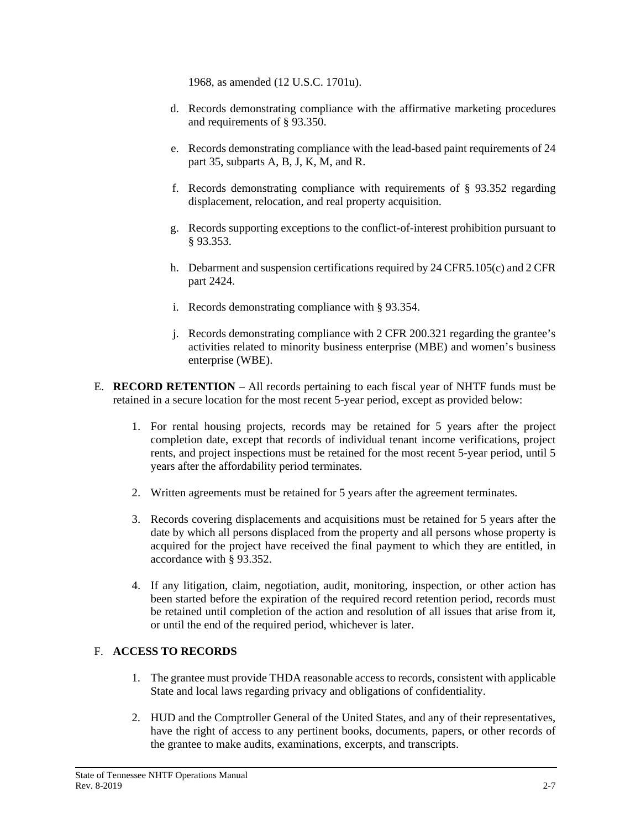1968, as amended (12 U.S.C. 1701u).

- d. Records demonstrating compliance with the affirmative marketing procedures and requirements of § 93.350.
- e. Records demonstrating compliance with the lead-based paint requirements of 24 part 35, subparts A, B, J, K, M, and R.
- f. Records demonstrating compliance with requirements of § 93.352 regarding displacement, relocation, and real property acquisition.
- g. Records supporting exceptions to the conflict-of-interest prohibition pursuant to § 93.353.
- h. Debarment and suspension certifications required by 24 CFR5.105(c) and 2 CFR part 2424.
- i. Records demonstrating compliance with § 93.354.
- j. Records demonstrating compliance with 2 CFR 200.321 regarding the grantee's activities related to minority business enterprise (MBE) and women's business enterprise (WBE).
- E. **RECORD RETENTION**  All records pertaining to each fiscal year of NHTF funds must be retained in a secure location for the most recent 5-year period, except as provided below:
	- 1. For rental housing projects, records may be retained for 5 years after the project completion date, except that records of individual tenant income verifications, project rents, and project inspections must be retained for the most recent 5-year period, until 5 years after the affordability period terminates.
	- 2. Written agreements must be retained for 5 years after the agreement terminates.
	- 3. Records covering displacements and acquisitions must be retained for 5 years after the date by which all persons displaced from the property and all persons whose property is acquired for the project have received the final payment to which they are entitled, in accordance with § 93.352.
	- 4. If any litigation, claim, negotiation, audit, monitoring, inspection, or other action has been started before the expiration of the required record retention period, records must be retained until completion of the action and resolution of all issues that arise from it, or until the end of the required period, whichever is later.

#### F. **ACCESS TO RECORDS**

- 1. The grantee must provide THDA reasonable access to records, consistent with applicable State and local laws regarding privacy and obligations of confidentiality.
- 2. HUD and the Comptroller General of the United States, and any of their representatives, have the right of access to any pertinent books, documents, papers, or other records of the grantee to make audits, examinations, excerpts, and transcripts.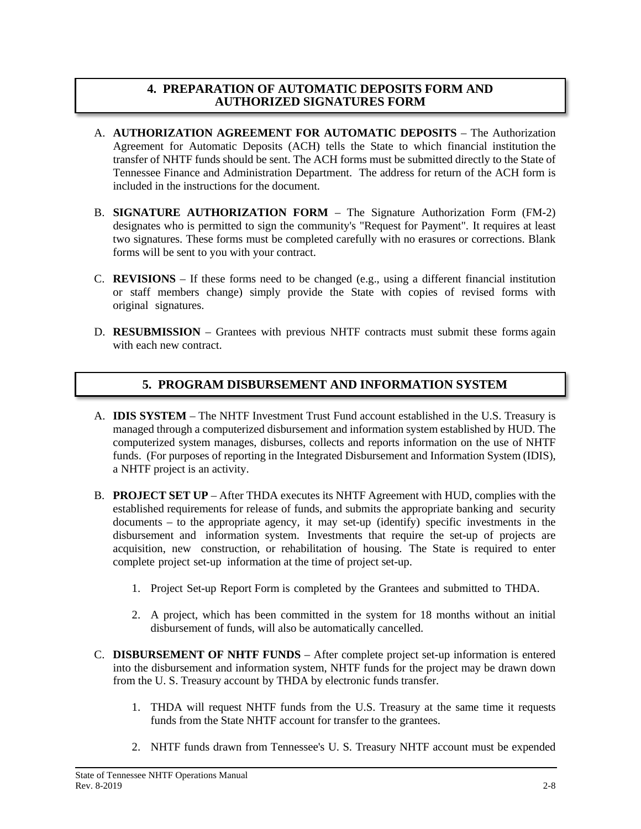### **4. PREPARATION OF AUTOMATIC DEPOSITS FORM AND AUTHORIZED SIGNATURES FORM**

- A. **AUTHORIZATION AGREEMENT FOR AUTOMATIC DEPOSITS** The Authorization Agreement for Automatic Deposits (ACH) tells the State to which financial institution the transfer of NHTF funds should be sent. The ACH forms must be submitted directly to the State of Tennessee Finance and Administration Department. The address for return of the ACH form is included in the instructions for the document.
- B. **SIGNATURE AUTHORIZATION FORM** The Signature Authorization Form (FM-2) designates who is permitted to sign the community's "Request for Payment". It requires at least two signatures. These forms must be completed carefully with no erasures or corrections. Blank forms will be sent to you with your contract.
- C. **REVISIONS** If these forms need to be changed (e.g., using a different financial institution or staff members change) simply provide the State with copies of revised forms with original signatures.
- D. **RESUBMISSION** Grantees with previous NHTF contracts must submit these forms again with each new contract.

# **5. PROGRAM DISBURSEMENT AND INFORMATION SYSTEM**

- A. **IDIS SYSTEM** The NHTF Investment Trust Fund account established in the U.S. Treasury is managed through a computerized disbursement and information system established by HUD. The computerized system manages, disburses, collects and reports information on the use of NHTF funds. (For purposes of reporting in the Integrated Disbursement and Information System (IDIS), a NHTF project is an activity.
- B. **PROJECT SET UP** After THDA executes its NHTF Agreement with HUD, complies with the established requirements for release of funds, and submits the appropriate banking and security documents – to the appropriate agency, it may set-up (identify) specific investments in the disbursement and information system. Investments that require the set-up of projects are acquisition, new construction, or rehabilitation of housing. The State is required to enter complete project set-up information at the time of project set-up.
	- 1. Project Set-up Report Form is completed by the Grantees and submitted to THDA.
	- 2. A project, which has been committed in the system for 18 months without an initial disbursement of funds, will also be automatically cancelled.
- C. **DISBURSEMENT OF NHTF FUNDS** After complete project set-up information is entered into the disbursement and information system, NHTF funds for the project may be drawn down from the U. S. Treasury account by THDA by electronic funds transfer.
	- 1. THDA will request NHTF funds from the U.S. Treasury at the same time it requests funds from the State NHTF account for transfer to the grantees.
	- 2. NHTF funds drawn from Tennessee's U. S. Treasury NHTF account must be expended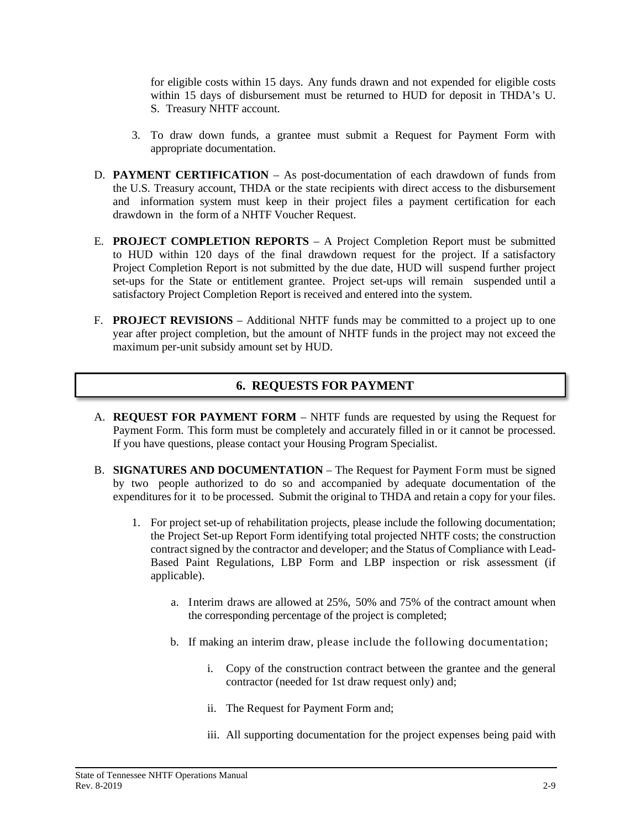for eligible costs within 15 days. Any funds drawn and not expended for eligible costs within 15 days of disbursement must be returned to HUD for deposit in THDA's U. S. Treasury NHTF account.

- 3. To draw down funds, a grantee must submit a Request for Payment Form with appropriate documentation.
- D. **PAYMENT CERTIFICATION** As post-documentation of each drawdown of funds from the U.S. Treasury account, THDA or the state recipients with direct access to the disbursement and information system must keep in their project files a payment certification for each drawdown in the form of a NHTF Voucher Request.
- E. **PROJECT COMPLETION REPORTS** A Project Completion Report must be submitted to HUD within 120 days of the final drawdown request for the project. If a satisfactory Project Completion Report is not submitted by the due date, HUD will suspend further project set-ups for the State or entitlement grantee. Project set-ups will remain suspended until a satisfactory Project Completion Report is received and entered into the system.
- F. **PROJECT REVISIONS** Additional NHTF funds may be committed to a project up to one year after project completion, but the amount of NHTF funds in the project may not exceed the maximum per-unit subsidy amount set by HUD.

# **6. REQUESTS FOR PAYMENT**

- A. **REQUEST FOR PAYMENT FORM** NHTF funds are requested by using the Request for Payment Form. This form must be completely and accurately filled in or it cannot be processed. If you have questions, please contact your Housing Program Specialist.
- B. **SIGNATURES AND DOCUMENTATION** The Request for Payment Form must be signed by two people authorized to do so and accompanied by adequate documentation of the expenditures for it to be processed. Submit the original to THDA and retain a copy for your files.
	- 1. For project set-up of rehabilitation projects, please include the following documentation; the Project Set-up Report Form identifying total projected NHTF costs; the construction contract signed by the contractor and developer; and the Status of Compliance with Lead-Based Paint Regulations, LBP Form and LBP inspection or risk assessment (if applicable).
		- a. Interim draws are allowed at 25%, 50% and 75% of the contract amount when the corresponding percentage of the project is completed;
		- b. If making an interim draw, please include the following documentation;
			- i. Copy of the construction contract between the grantee and the general contractor (needed for 1st draw request only) and;
			- ii. The Request for Payment Form and;
			- iii. All supporting documentation for the project expenses being paid with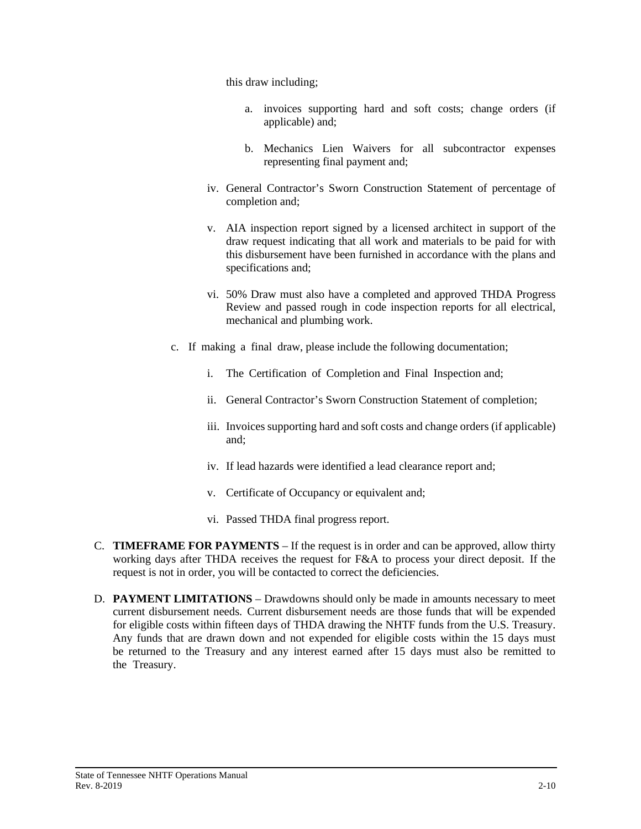this draw including;

- a. invoices supporting hard and soft costs; change orders (if applicable) and;
- b. Mechanics Lien Waivers for all subcontractor expenses representing final payment and;
- iv. General Contractor's Sworn Construction Statement of percentage of completion and;
- v. AIA inspection report signed by a licensed architect in support of the draw request indicating that all work and materials to be paid for with this disbursement have been furnished in accordance with the plans and specifications and;
- vi. 50% Draw must also have a completed and approved THDA Progress Review and passed rough in code inspection reports for all electrical, mechanical and plumbing work.
- c. If making a final draw, please include the following documentation;
	- i. The Certification of Completion and Final Inspection and;
	- ii. General Contractor's Sworn Construction Statement of completion;
	- iii. Invoices supporting hard and soft costs and change orders (if applicable) and;
	- iv. If lead hazards were identified a lead clearance report and;
	- v. Certificate of Occupancy or equivalent and;
	- vi. Passed THDA final progress report.
- C. **TIMEFRAME FOR PAYMENTS** If the request is in order and can be approved, allow thirty working days after THDA receives the request for F&A to process your direct deposit. If the request is not in order, you will be contacted to correct the deficiencies.
- D. **PAYMENT LIMITATIONS** Drawdowns should only be made in amounts necessary to meet current disbursement needs. Current disbursement needs are those funds that will be expended for eligible costs within fifteen days of THDA drawing the NHTF funds from the U.S. Treasury. Any funds that are drawn down and not expended for eligible costs within the 15 days must be returned to the Treasury and any interest earned after 15 days must also be remitted to the Treasury.